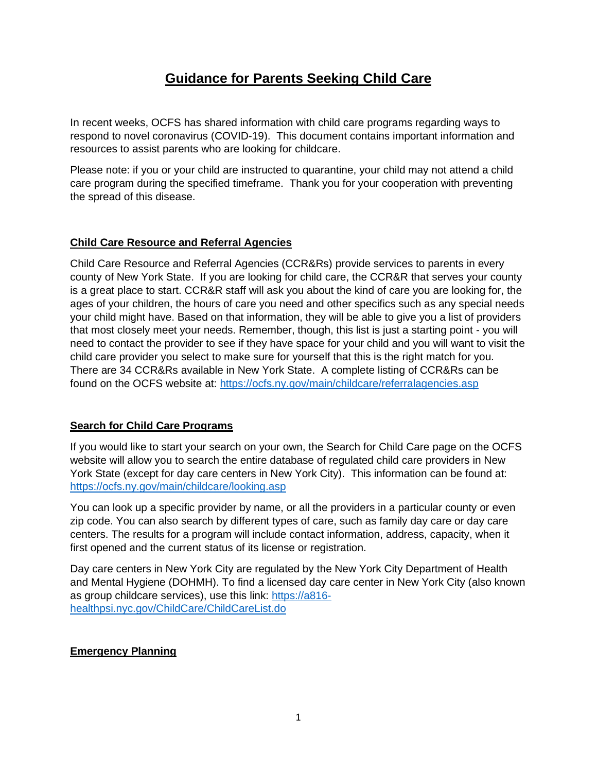# **Guidance for Parents Seeking Child Care**

In recent weeks, OCFS has shared information with child care programs regarding ways to respond to novel coronavirus (COVID-19). This document contains important information and resources to assist parents who are looking for childcare.

Please note: if you or your child are instructed to quarantine, your child may not attend a child care program during the specified timeframe. Thank you for your cooperation with preventing the spread of this disease.

#### **Child Care Resource and Referral Agencies**

Child Care Resource and Referral Agencies (CCR&Rs) provide services to parents in every county of New York State. If you are looking for child care, the CCR&R that serves your county is a great place to start. CCR&R staff will ask you about the kind of care you are looking for, the ages of your children, the hours of care you need and other specifics such as any special needs your child might have. Based on that information, they will be able to give you a list of providers that most closely meet your needs. Remember, though, this list is just a starting point - you will need to contact the provider to see if they have space for your child and you will want to visit the child care provider you select to make sure for yourself that this is the right match for you. There are 34 CCR&Rs available in New York State. A complete listing of CCR&Rs can be found on the OCFS website at:<https://ocfs.ny.gov/main/childcare/referralagencies.asp>

## **Search for Child Care Programs**

If you would like to start your search on your own, the Search for Child Care page on the OCFS website will allow you to search the entire database of regulated child care providers in New York State (except for day care centers in New York City). This information can be found at: <https://ocfs.ny.gov/main/childcare/looking.asp>

You can look up a specific provider by name, or all the providers in a particular county or even zip code. You can also search by different types of care, such as family day care or day care centers. The results for a program will include contact information, address, capacity, when it first opened and the current status of its license or registration.

Day care centers in New York City are regulated by the New York City Department of Health and Mental Hygiene (DOHMH). To find a licensed day care center in New York City (also known as group childcare services), use this link: [https://a816](https://a816-healthpsi.nyc.gov/ChildCare/ChildCareList.do) [healthpsi.nyc.gov/ChildCare/ChildCareList.do](https://a816-healthpsi.nyc.gov/ChildCare/ChildCareList.do)

## **Emergency Planning**